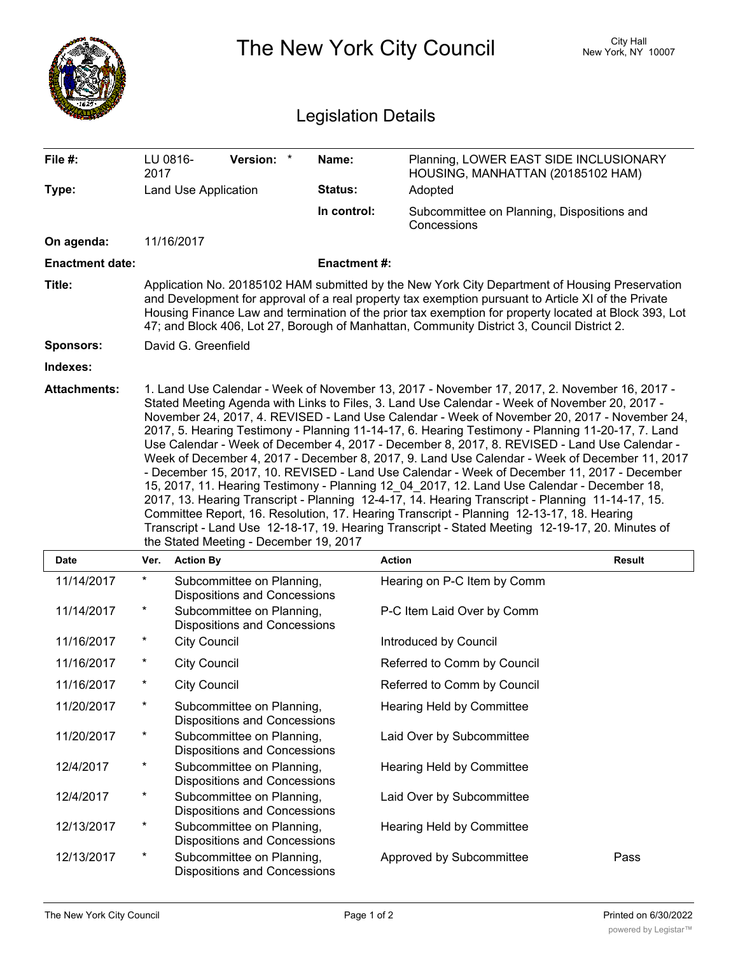|                            |                                                                                                                                                                                                                                                                                                                                                                                                                                                                                                                                                                                                                                                                                                                                                                                                                                                                                                                                                                                                                                                  |                                                                  |                    | The New York City Council                                                   | <b>City Hall</b><br>New York, NY 10007 |  |  |  |  |
|----------------------------|--------------------------------------------------------------------------------------------------------------------------------------------------------------------------------------------------------------------------------------------------------------------------------------------------------------------------------------------------------------------------------------------------------------------------------------------------------------------------------------------------------------------------------------------------------------------------------------------------------------------------------------------------------------------------------------------------------------------------------------------------------------------------------------------------------------------------------------------------------------------------------------------------------------------------------------------------------------------------------------------------------------------------------------------------|------------------------------------------------------------------|--------------------|-----------------------------------------------------------------------------|----------------------------------------|--|--|--|--|
| <b>Legislation Details</b> |                                                                                                                                                                                                                                                                                                                                                                                                                                                                                                                                                                                                                                                                                                                                                                                                                                                                                                                                                                                                                                                  |                                                                  |                    |                                                                             |                                        |  |  |  |  |
| File #:                    | 2017                                                                                                                                                                                                                                                                                                                                                                                                                                                                                                                                                                                                                                                                                                                                                                                                                                                                                                                                                                                                                                             | Version: *<br>LU 0816-                                           | Name:              | Planning, LOWER EAST SIDE INCLUSIONARY<br>HOUSING, MANHATTAN (20185102 HAM) |                                        |  |  |  |  |
| Type:                      | <b>Land Use Application</b>                                                                                                                                                                                                                                                                                                                                                                                                                                                                                                                                                                                                                                                                                                                                                                                                                                                                                                                                                                                                                      |                                                                  | <b>Status:</b>     | Adopted                                                                     |                                        |  |  |  |  |
|                            |                                                                                                                                                                                                                                                                                                                                                                                                                                                                                                                                                                                                                                                                                                                                                                                                                                                                                                                                                                                                                                                  |                                                                  | In control:        | Subcommittee on Planning, Dispositions and<br>Concessions                   |                                        |  |  |  |  |
| On agenda:                 |                                                                                                                                                                                                                                                                                                                                                                                                                                                                                                                                                                                                                                                                                                                                                                                                                                                                                                                                                                                                                                                  | 11/16/2017                                                       |                    |                                                                             |                                        |  |  |  |  |
| <b>Enactment date:</b>     |                                                                                                                                                                                                                                                                                                                                                                                                                                                                                                                                                                                                                                                                                                                                                                                                                                                                                                                                                                                                                                                  |                                                                  | <b>Enactment#:</b> |                                                                             |                                        |  |  |  |  |
| Title:                     | Application No. 20185102 HAM submitted by the New York City Department of Housing Preservation<br>and Development for approval of a real property tax exemption pursuant to Article XI of the Private<br>Housing Finance Law and termination of the prior tax exemption for property located at Block 393, Lot<br>47; and Block 406, Lot 27, Borough of Manhattan, Community District 3, Council District 2.                                                                                                                                                                                                                                                                                                                                                                                                                                                                                                                                                                                                                                     |                                                                  |                    |                                                                             |                                        |  |  |  |  |
| <b>Sponsors:</b>           |                                                                                                                                                                                                                                                                                                                                                                                                                                                                                                                                                                                                                                                                                                                                                                                                                                                                                                                                                                                                                                                  | David G. Greenfield                                              |                    |                                                                             |                                        |  |  |  |  |
| Indexes:                   |                                                                                                                                                                                                                                                                                                                                                                                                                                                                                                                                                                                                                                                                                                                                                                                                                                                                                                                                                                                                                                                  |                                                                  |                    |                                                                             |                                        |  |  |  |  |
|                            | Stated Meeting Agenda with Links to Files, 3. Land Use Calendar - Week of November 20, 2017 -<br>November 24, 2017, 4. REVISED - Land Use Calendar - Week of November 20, 2017 - November 24,<br>2017, 5. Hearing Testimony - Planning 11-14-17, 6. Hearing Testimony - Planning 11-20-17, 7. Land<br>Use Calendar - Week of December 4, 2017 - December 8, 2017, 8. REVISED - Land Use Calendar -<br>Week of December 4, 2017 - December 8, 2017, 9. Land Use Calendar - Week of December 11, 2017<br>- December 15, 2017, 10. REVISED - Land Use Calendar - Week of December 11, 2017 - December<br>15, 2017, 11. Hearing Testimony - Planning 12 04 2017, 12. Land Use Calendar - December 18,<br>2017, 13. Hearing Transcript - Planning 12-4-17, 14. Hearing Transcript - Planning 11-14-17, 15.<br>Committee Report, 16. Resolution, 17. Hearing Transcript - Planning 12-13-17, 18. Hearing<br>Transcript - Land Use 12-18-17, 19. Hearing Transcript - Stated Meeting 12-19-17, 20. Minutes of<br>the Stated Meeting - December 19, 2017 |                                                                  |                    |                                                                             |                                        |  |  |  |  |
| Date                       | Ver.                                                                                                                                                                                                                                                                                                                                                                                                                                                                                                                                                                                                                                                                                                                                                                                                                                                                                                                                                                                                                                             | <b>Action By</b>                                                 |                    | <b>Action</b>                                                               | <b>Result</b>                          |  |  |  |  |
| 11/14/2017                 | $^\ast$                                                                                                                                                                                                                                                                                                                                                                                                                                                                                                                                                                                                                                                                                                                                                                                                                                                                                                                                                                                                                                          | Subcommittee on Planning,<br><b>Dispositions and Concessions</b> |                    | Hearing on P-C Item by Comm                                                 |                                        |  |  |  |  |
| 11/14/2017                 | $\ast$                                                                                                                                                                                                                                                                                                                                                                                                                                                                                                                                                                                                                                                                                                                                                                                                                                                                                                                                                                                                                                           | Subcommittee on Planning,<br><b>Dispositions and Concessions</b> |                    | P-C Item Laid Over by Comm                                                  |                                        |  |  |  |  |
| 11/16/2017                 | $\ast$                                                                                                                                                                                                                                                                                                                                                                                                                                                                                                                                                                                                                                                                                                                                                                                                                                                                                                                                                                                                                                           | <b>City Council</b>                                              |                    | Introduced by Council                                                       |                                        |  |  |  |  |
| 11/16/2017                 | *                                                                                                                                                                                                                                                                                                                                                                                                                                                                                                                                                                                                                                                                                                                                                                                                                                                                                                                                                                                                                                                | <b>City Council</b>                                              |                    | Referred to Comm by Council                                                 |                                        |  |  |  |  |
| 11/16/2017                 | *                                                                                                                                                                                                                                                                                                                                                                                                                                                                                                                                                                                                                                                                                                                                                                                                                                                                                                                                                                                                                                                | <b>City Council</b>                                              |                    | Referred to Comm by Council                                                 |                                        |  |  |  |  |
| 11/20/2017                 | $^\ast$                                                                                                                                                                                                                                                                                                                                                                                                                                                                                                                                                                                                                                                                                                                                                                                                                                                                                                                                                                                                                                          | Subcommittee on Planning,<br><b>Dispositions and Concessions</b> |                    | <b>Hearing Held by Committee</b>                                            |                                        |  |  |  |  |
| 11/20/2017                 | $\ast$                                                                                                                                                                                                                                                                                                                                                                                                                                                                                                                                                                                                                                                                                                                                                                                                                                                                                                                                                                                                                                           | Subcommittee on Planning,<br><b>Dispositions and Concessions</b> |                    | Laid Over by Subcommittee                                                   |                                        |  |  |  |  |
| 12/4/2017                  | $^\ast$                                                                                                                                                                                                                                                                                                                                                                                                                                                                                                                                                                                                                                                                                                                                                                                                                                                                                                                                                                                                                                          | Subcommittee on Planning,<br><b>Dispositions and Concessions</b> |                    | Hearing Held by Committee                                                   |                                        |  |  |  |  |
| 12/4/2017                  | $\star$                                                                                                                                                                                                                                                                                                                                                                                                                                                                                                                                                                                                                                                                                                                                                                                                                                                                                                                                                                                                                                          | Subcommittee on Planning,<br><b>Dispositions and Concessions</b> |                    | Laid Over by Subcommittee                                                   |                                        |  |  |  |  |
| 12/13/2017                 | $\ast$                                                                                                                                                                                                                                                                                                                                                                                                                                                                                                                                                                                                                                                                                                                                                                                                                                                                                                                                                                                                                                           | Subcommittee on Planning,<br><b>Dispositions and Concessions</b> |                    | Hearing Held by Committee                                                   |                                        |  |  |  |  |
| 12/13/2017                 | $\ast$                                                                                                                                                                                                                                                                                                                                                                                                                                                                                                                                                                                                                                                                                                                                                                                                                                                                                                                                                                                                                                           | Subcommittee on Planning,<br><b>Dispositions and Concessions</b> |                    | Approved by Subcommittee                                                    | Pass                                   |  |  |  |  |